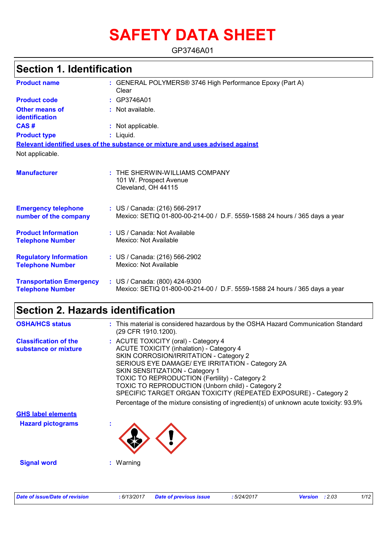# **SAFETY DATA SHEET**

GP3746A01

| <b>Section 1. Identification</b>                           |                                                                                                             |  |
|------------------------------------------------------------|-------------------------------------------------------------------------------------------------------------|--|
| <b>Product name</b>                                        | : GENERAL POLYMERS® 3746 High Performance Epoxy (Part A)<br>Clear                                           |  |
| <b>Product code</b>                                        | : GP3746A01                                                                                                 |  |
| Other means of<br>identification                           | : Not available.                                                                                            |  |
| CAS#                                                       | : Not applicable.                                                                                           |  |
| <b>Product type</b>                                        | : Liquid.                                                                                                   |  |
|                                                            | Relevant identified uses of the substance or mixture and uses advised against                               |  |
| Not applicable.                                            |                                                                                                             |  |
| <b>Manufacturer</b>                                        | : THE SHERWIN-WILLIAMS COMPANY<br>101 W. Prospect Avenue<br>Cleveland, OH 44115                             |  |
| <b>Emergency telephone</b><br>number of the company        | : US / Canada: (216) 566-2917<br>Mexico: SETIQ 01-800-00-214-00 / D.F. 5559-1588 24 hours / 365 days a year |  |
| <b>Product Information</b><br><b>Telephone Number</b>      | : US / Canada: Not Available<br>Mexico: Not Available                                                       |  |
| <b>Regulatory Information</b><br><b>Telephone Number</b>   | : US / Canada: (216) 566-2902<br>Mexico: Not Available                                                      |  |
| <b>Transportation Emergency</b><br><b>Telephone Number</b> | : US / Canada: (800) 424-9300<br>Mexico: SETIQ 01-800-00-214-00 / D.F. 5559-1588 24 hours / 365 days a year |  |

## **Section 2. Hazards identification**

| <b>OSHA/HCS status</b>                               | : This material is considered hazardous by the OSHA Hazard Communication Standard<br>(29 CFR 1910.1200).                                                                                                                                                                                                                                                                                                                                                                                     |
|------------------------------------------------------|----------------------------------------------------------------------------------------------------------------------------------------------------------------------------------------------------------------------------------------------------------------------------------------------------------------------------------------------------------------------------------------------------------------------------------------------------------------------------------------------|
| <b>Classification of the</b><br>substance or mixture | : ACUTE TOXICITY (oral) - Category 4<br><b>ACUTE TOXICITY (inhalation) - Category 4</b><br>SKIN CORROSION/IRRITATION - Category 2<br>SERIOUS EYE DAMAGE/ EYE IRRITATION - Category 2A<br>SKIN SENSITIZATION - Category 1<br>TOXIC TO REPRODUCTION (Fertility) - Category 2<br>TOXIC TO REPRODUCTION (Unborn child) - Category 2<br>SPECIFIC TARGET ORGAN TOXICITY (REPEATED EXPOSURE) - Category 2<br>Percentage of the mixture consisting of ingredient(s) of unknown acute toxicity: 93.9% |
| <b>GHS label elements</b>                            |                                                                                                                                                                                                                                                                                                                                                                                                                                                                                              |
| <b>Hazard pictograms</b>                             |                                                                                                                                                                                                                                                                                                                                                                                                                                                                                              |
| <b>Signal word</b>                                   | : Warning                                                                                                                                                                                                                                                                                                                                                                                                                                                                                    |
|                                                      |                                                                                                                                                                                                                                                                                                                                                                                                                                                                                              |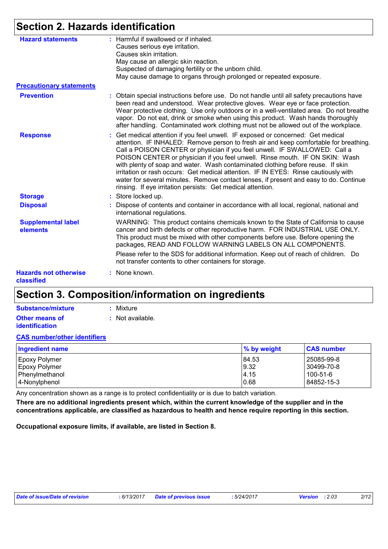## **Section 2. Hazards identification**

| <b>Hazard statements</b>                   | : Harmful if swallowed or if inhaled.<br>Causes serious eye irritation.                                                                                                                                                                                                                                                                                                                                                                                                                                                                                                                                                                                                   |
|--------------------------------------------|---------------------------------------------------------------------------------------------------------------------------------------------------------------------------------------------------------------------------------------------------------------------------------------------------------------------------------------------------------------------------------------------------------------------------------------------------------------------------------------------------------------------------------------------------------------------------------------------------------------------------------------------------------------------------|
|                                            | Causes skin irritation.<br>May cause an allergic skin reaction.                                                                                                                                                                                                                                                                                                                                                                                                                                                                                                                                                                                                           |
|                                            | Suspected of damaging fertility or the unborn child.                                                                                                                                                                                                                                                                                                                                                                                                                                                                                                                                                                                                                      |
|                                            | May cause damage to organs through prolonged or repeated exposure.                                                                                                                                                                                                                                                                                                                                                                                                                                                                                                                                                                                                        |
| <b>Precautionary statements</b>            |                                                                                                                                                                                                                                                                                                                                                                                                                                                                                                                                                                                                                                                                           |
| <b>Prevention</b>                          | : Obtain special instructions before use. Do not handle until all safety precautions have<br>been read and understood. Wear protective gloves. Wear eye or face protection.<br>Wear protective clothing. Use only outdoors or in a well-ventilated area. Do not breathe<br>vapor. Do not eat, drink or smoke when using this product. Wash hands thoroughly<br>after handling. Contaminated work clothing must not be allowed out of the workplace.                                                                                                                                                                                                                       |
| <b>Response</b>                            | : Get medical attention if you feel unwell. IF exposed or concerned: Get medical<br>attention. IF INHALED: Remove person to fresh air and keep comfortable for breathing.<br>Call a POISON CENTER or physician if you feel unwell. IF SWALLOWED: Call a<br>POISON CENTER or physician if you feel unwell. Rinse mouth. IF ON SKIN: Wash<br>with plenty of soap and water. Wash contaminated clothing before reuse. If skin<br>irritation or rash occurs: Get medical attention. IF IN EYES: Rinse cautiously with<br>water for several minutes. Remove contact lenses, if present and easy to do. Continue<br>rinsing. If eye irritation persists: Get medical attention. |
| <b>Storage</b>                             | : Store locked up.                                                                                                                                                                                                                                                                                                                                                                                                                                                                                                                                                                                                                                                        |
| <b>Disposal</b>                            | : Dispose of contents and container in accordance with all local, regional, national and<br>international regulations.                                                                                                                                                                                                                                                                                                                                                                                                                                                                                                                                                    |
| <b>Supplemental label</b><br>elements      | WARNING: This product contains chemicals known to the State of California to cause<br>cancer and birth defects or other reproductive harm. FOR INDUSTRIAL USE ONLY.<br>This product must be mixed with other components before use. Before opening the<br>packages, READ AND FOLLOW WARNING LABELS ON ALL COMPONENTS.                                                                                                                                                                                                                                                                                                                                                     |
|                                            | Please refer to the SDS for additional information. Keep out of reach of children. Do<br>not transfer contents to other containers for storage.                                                                                                                                                                                                                                                                                                                                                                                                                                                                                                                           |
| <b>Hazards not otherwise</b><br>classified | : None known.                                                                                                                                                                                                                                                                                                                                                                                                                                                                                                                                                                                                                                                             |

### **Section 3. Composition/information on ingredients**

| Substance/mixture     | : Mixture          |
|-----------------------|--------------------|
| <b>Other means of</b> | $:$ Not available. |
| <i>identification</i> |                    |

#### **CAS number/other identifiers**

| <b>Ingredient name</b> | % by weight | <b>CAS number</b> |
|------------------------|-------------|-------------------|
| <b>Epoxy Polymer</b>   | 84.53       | 25085-99-8        |
| <b>Epoxy Polymer</b>   | 9.32        | 30499-70-8        |
| Phenylmethanol         | 4.15        | 100-51-6          |
| 4-Nonylphenol          | 0.68        | 84852-15-3        |

Any concentration shown as a range is to protect confidentiality or is due to batch variation.

**There are no additional ingredients present which, within the current knowledge of the supplier and in the concentrations applicable, are classified as hazardous to health and hence require reporting in this section.**

**Occupational exposure limits, if available, are listed in Section 8.**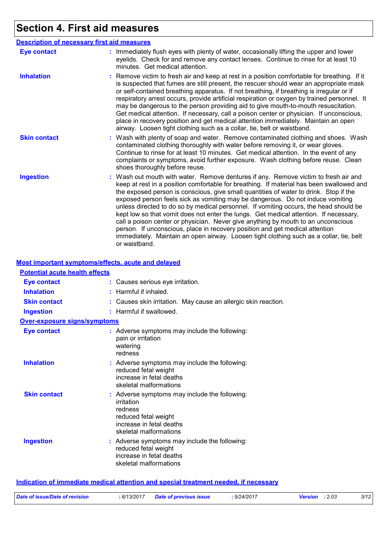## **Section 4. First aid measures**

|                     | <b>Description of necessary first aid measures</b>                                                                                                                                                                                                                                                                                                                                                                                                                                                                                                                                                                                                                                                                                                                                                                            |
|---------------------|-------------------------------------------------------------------------------------------------------------------------------------------------------------------------------------------------------------------------------------------------------------------------------------------------------------------------------------------------------------------------------------------------------------------------------------------------------------------------------------------------------------------------------------------------------------------------------------------------------------------------------------------------------------------------------------------------------------------------------------------------------------------------------------------------------------------------------|
| <b>Eye contact</b>  | : Immediately flush eyes with plenty of water, occasionally lifting the upper and lower<br>eyelids. Check for and remove any contact lenses. Continue to rinse for at least 10<br>minutes. Get medical attention.                                                                                                                                                                                                                                                                                                                                                                                                                                                                                                                                                                                                             |
| <b>Inhalation</b>   | : Remove victim to fresh air and keep at rest in a position comfortable for breathing. If it<br>is suspected that fumes are still present, the rescuer should wear an appropriate mask<br>or self-contained breathing apparatus. If not breathing, if breathing is irregular or if<br>respiratory arrest occurs, provide artificial respiration or oxygen by trained personnel. It<br>may be dangerous to the person providing aid to give mouth-to-mouth resuscitation.<br>Get medical attention. If necessary, call a poison center or physician. If unconscious,<br>place in recovery position and get medical attention immediately. Maintain an open<br>airway. Loosen tight clothing such as a collar, tie, belt or waistband.                                                                                          |
| <b>Skin contact</b> | : Wash with plenty of soap and water. Remove contaminated clothing and shoes. Wash<br>contaminated clothing thoroughly with water before removing it, or wear gloves.<br>Continue to rinse for at least 10 minutes. Get medical attention. In the event of any<br>complaints or symptoms, avoid further exposure. Wash clothing before reuse. Clean<br>shoes thoroughly before reuse.                                                                                                                                                                                                                                                                                                                                                                                                                                         |
| <b>Ingestion</b>    | : Wash out mouth with water. Remove dentures if any. Remove victim to fresh air and<br>keep at rest in a position comfortable for breathing. If material has been swallowed and<br>the exposed person is conscious, give small quantities of water to drink. Stop if the<br>exposed person feels sick as vomiting may be dangerous. Do not induce vomiting<br>unless directed to do so by medical personnel. If vomiting occurs, the head should be<br>kept low so that vomit does not enter the lungs. Get medical attention. If necessary,<br>call a poison center or physician. Never give anything by mouth to an unconscious<br>person. If unconscious, place in recovery position and get medical attention<br>immediately. Maintain an open airway. Loosen tight clothing such as a collar, tie, belt<br>or waistband. |

#### **Most important symptoms/effects, acute and delayed**

| <b>Potential acute health effects</b> |                                                                                                                                                      |  |
|---------------------------------------|------------------------------------------------------------------------------------------------------------------------------------------------------|--|
| <b>Eye contact</b>                    | : Causes serious eye irritation.                                                                                                                     |  |
| <b>Inhalation</b>                     | $:$ Harmful if inhaled.                                                                                                                              |  |
| <b>Skin contact</b>                   | : Causes skin irritation. May cause an allergic skin reaction.                                                                                       |  |
| <b>Ingestion</b>                      | : Harmful if swallowed.                                                                                                                              |  |
| <b>Over-exposure signs/symptoms</b>   |                                                                                                                                                      |  |
| <b>Eye contact</b>                    | : Adverse symptoms may include the following:<br>pain or irritation<br>watering<br>redness                                                           |  |
| <b>Inhalation</b>                     | : Adverse symptoms may include the following:<br>reduced fetal weight<br>increase in fetal deaths<br>skeletal malformations                          |  |
| <b>Skin contact</b>                   | : Adverse symptoms may include the following:<br>irritation<br>redness<br>reduced fetal weight<br>increase in fetal deaths<br>skeletal malformations |  |
| <b>Ingestion</b>                      | : Adverse symptoms may include the following:<br>reduced fetal weight<br>increase in fetal deaths<br>skeletal malformations                          |  |

#### **Indication of immediate medical attention and special treatment needed, if necessary**

| Date of issue/Date of revision | : 6/13/2017 | Date of previous issue | 5/24/2017 | : 2.03<br><b>Version</b> | 3/12 |
|--------------------------------|-------------|------------------------|-----------|--------------------------|------|
|                                |             |                        |           |                          |      |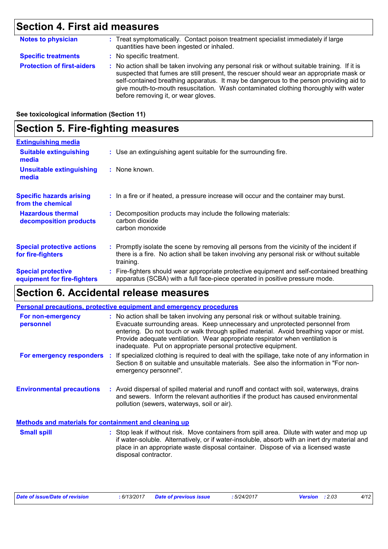## **Section 4. First aid measures**

| <b>Notes to physician</b>         | : Treat symptomatically. Contact poison treatment specialist immediately if large<br>quantities have been ingested or inhaled.                                                                                                                                                                                                                                                                                  |
|-----------------------------------|-----------------------------------------------------------------------------------------------------------------------------------------------------------------------------------------------------------------------------------------------------------------------------------------------------------------------------------------------------------------------------------------------------------------|
| <b>Specific treatments</b>        | : No specific treatment.                                                                                                                                                                                                                                                                                                                                                                                        |
| <b>Protection of first-aiders</b> | : No action shall be taken involving any personal risk or without suitable training. If it is<br>suspected that fumes are still present, the rescuer should wear an appropriate mask or<br>self-contained breathing apparatus. It may be dangerous to the person providing aid to<br>give mouth-to-mouth resuscitation. Wash contaminated clothing thoroughly with water<br>before removing it, or wear gloves. |

**See toxicological information (Section 11)**

## **Section 5. Fire-fighting measures**

| <b>Extinguishing media</b>                               |                                                                                                                                                                                                     |
|----------------------------------------------------------|-----------------------------------------------------------------------------------------------------------------------------------------------------------------------------------------------------|
| <b>Suitable extinguishing</b><br>media                   | : Use an extinguishing agent suitable for the surrounding fire.                                                                                                                                     |
| <b>Unsuitable extinguishing</b><br>media                 | : None known.                                                                                                                                                                                       |
| <b>Specific hazards arising</b><br>from the chemical     | : In a fire or if heated, a pressure increase will occur and the container may burst.                                                                                                               |
| <b>Hazardous thermal</b><br>decomposition products       | : Decomposition products may include the following materials:<br>carbon dioxide<br>carbon monoxide                                                                                                  |
| <b>Special protective actions</b><br>for fire-fighters   | : Promptly isolate the scene by removing all persons from the vicinity of the incident if<br>there is a fire. No action shall be taken involving any personal risk or without suitable<br>training. |
| <b>Special protective</b><br>equipment for fire-fighters | : Fire-fighters should wear appropriate protective equipment and self-contained breathing<br>apparatus (SCBA) with a full face-piece operated in positive pressure mode.                            |
|                                                          |                                                                                                                                                                                                     |

### **Section 6. Accidental release measures**

|                                                              | <b>Personal precautions, protective equipment and emergency procedures</b>                                                                                                                                                                                                                                                                                                                                       |
|--------------------------------------------------------------|------------------------------------------------------------------------------------------------------------------------------------------------------------------------------------------------------------------------------------------------------------------------------------------------------------------------------------------------------------------------------------------------------------------|
| For non-emergency<br>personnel                               | : No action shall be taken involving any personal risk or without suitable training.<br>Evacuate surrounding areas. Keep unnecessary and unprotected personnel from<br>entering. Do not touch or walk through spilled material. Avoid breathing vapor or mist.<br>Provide adequate ventilation. Wear appropriate respirator when ventilation is<br>inadequate. Put on appropriate personal protective equipment. |
| For emergency responders                                     | If specialized clothing is required to deal with the spillage, take note of any information in<br>Section 8 on suitable and unsuitable materials. See also the information in "For non-<br>emergency personnel".                                                                                                                                                                                                 |
| <b>Environmental precautions</b>                             | : Avoid dispersal of spilled material and runoff and contact with soil, waterways, drains<br>and sewers. Inform the relevant authorities if the product has caused environmental<br>pollution (sewers, waterways, soil or air).                                                                                                                                                                                  |
| <b>Methods and materials for containment and cleaning up</b> |                                                                                                                                                                                                                                                                                                                                                                                                                  |
| <b>Small spill</b>                                           | : Stop leak if without risk. Move containers from spill area. Dilute with water and mop up<br>if water-soluble. Alternatively, or if water-insoluble, absorb with an inert dry material and                                                                                                                                                                                                                      |

disposal contractor.

place in an appropriate waste disposal container. Dispose of via a licensed waste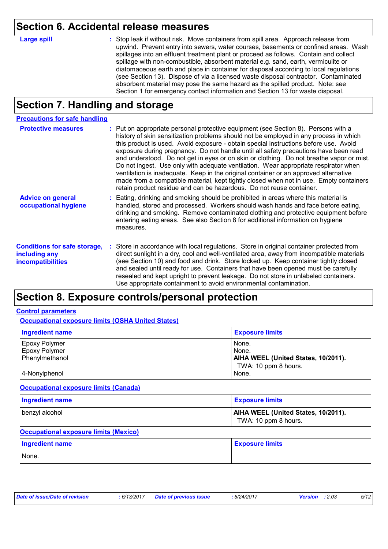### **Section 6. Accidental release measures**

**Large spill :**

Stop leak if without risk. Move containers from spill area. Approach release from upwind. Prevent entry into sewers, water courses, basements or confined areas. Wash spillages into an effluent treatment plant or proceed as follows. Contain and collect spillage with non-combustible, absorbent material e.g. sand, earth, vermiculite or diatomaceous earth and place in container for disposal according to local regulations (see Section 13). Dispose of via a licensed waste disposal contractor. Contaminated absorbent material may pose the same hazard as the spilled product. Note: see Section 1 for emergency contact information and Section 13 for waste disposal.

### **Section 7. Handling and storage**

#### **Precautions for safe handling**

| <b>Protective measures</b>                                                       | : Put on appropriate personal protective equipment (see Section 8). Persons with a<br>history of skin sensitization problems should not be employed in any process in which<br>this product is used. Avoid exposure - obtain special instructions before use. Avoid<br>exposure during pregnancy. Do not handle until all safety precautions have been read<br>and understood. Do not get in eyes or on skin or clothing. Do not breathe vapor or mist.<br>Do not ingest. Use only with adequate ventilation. Wear appropriate respirator when<br>ventilation is inadequate. Keep in the original container or an approved alternative<br>made from a compatible material, kept tightly closed when not in use. Empty containers<br>retain product residue and can be hazardous. Do not reuse container. |
|----------------------------------------------------------------------------------|----------------------------------------------------------------------------------------------------------------------------------------------------------------------------------------------------------------------------------------------------------------------------------------------------------------------------------------------------------------------------------------------------------------------------------------------------------------------------------------------------------------------------------------------------------------------------------------------------------------------------------------------------------------------------------------------------------------------------------------------------------------------------------------------------------|
| <b>Advice on general</b><br>occupational hygiene                                 | : Eating, drinking and smoking should be prohibited in areas where this material is<br>handled, stored and processed. Workers should wash hands and face before eating,<br>drinking and smoking. Remove contaminated clothing and protective equipment before<br>entering eating areas. See also Section 8 for additional information on hygiene<br>measures.                                                                                                                                                                                                                                                                                                                                                                                                                                            |
| <b>Conditions for safe storage,</b><br>including any<br><b>incompatibilities</b> | : Store in accordance with local regulations. Store in original container protected from<br>direct sunlight in a dry, cool and well-ventilated area, away from incompatible materials<br>(see Section 10) and food and drink. Store locked up. Keep container tightly closed<br>and sealed until ready for use. Containers that have been opened must be carefully<br>resealed and kept upright to prevent leakage. Do not store in unlabeled containers.<br>Use appropriate containment to avoid environmental contamination.                                                                                                                                                                                                                                                                           |

### **Section 8. Exposure controls/personal protection**

#### **Control parameters**

**Occupational exposure limits (OSHA United States)**

| <b>Ingredient name</b> | <b>Exposure limits</b>              |
|------------------------|-------------------------------------|
| <b>Epoxy Polymer</b>   | None.                               |
| <b>Epoxy Polymer</b>   | None.                               |
| Phenylmethanol         | AIHA WEEL (United States, 10/2011). |
|                        | TWA: 10 ppm 8 hours.                |
| 4-Nonylphenol          | None.                               |

#### **Occupational exposure limits (Canada)**

| Ingredient name | <b>Exposure limits</b>                                      |
|-----------------|-------------------------------------------------------------|
| benzyl alcohol  | AIHA WEEL (United States, 10/2011).<br>TWA: 10 ppm 8 hours. |

#### **Occupational exposure limits (Mexico)**

| <b>Ingredient name</b> | <b>Exposure limits</b> |
|------------------------|------------------------|
| None.                  |                        |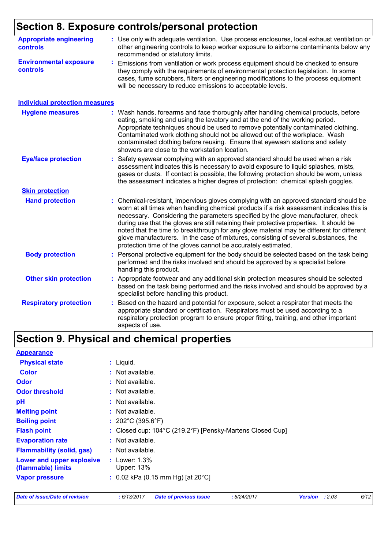## **Section 8. Exposure controls/personal protection**

| <b>Appropriate engineering</b><br><b>controls</b> | : Use only with adequate ventilation. Use process enclosures, local exhaust ventilation or<br>other engineering controls to keep worker exposure to airborne contaminants below any<br>recommended or statutory limits.                                                                                                                                                                                                                                                                                                                                                                                              |
|---------------------------------------------------|----------------------------------------------------------------------------------------------------------------------------------------------------------------------------------------------------------------------------------------------------------------------------------------------------------------------------------------------------------------------------------------------------------------------------------------------------------------------------------------------------------------------------------------------------------------------------------------------------------------------|
| <b>Environmental exposure</b><br><b>controls</b>  | Emissions from ventilation or work process equipment should be checked to ensure<br>÷,<br>they comply with the requirements of environmental protection legislation. In some<br>cases, fume scrubbers, filters or engineering modifications to the process equipment<br>will be necessary to reduce emissions to acceptable levels.                                                                                                                                                                                                                                                                                  |
| <b>Individual protection measures</b>             |                                                                                                                                                                                                                                                                                                                                                                                                                                                                                                                                                                                                                      |
| <b>Hygiene measures</b>                           | Wash hands, forearms and face thoroughly after handling chemical products, before<br>eating, smoking and using the lavatory and at the end of the working period.<br>Appropriate techniques should be used to remove potentially contaminated clothing.<br>Contaminated work clothing should not be allowed out of the workplace. Wash<br>contaminated clothing before reusing. Ensure that eyewash stations and safety<br>showers are close to the workstation location.                                                                                                                                            |
| <b>Eye/face protection</b>                        | Safety eyewear complying with an approved standard should be used when a risk<br>assessment indicates this is necessary to avoid exposure to liquid splashes, mists,<br>gases or dusts. If contact is possible, the following protection should be worn, unless<br>the assessment indicates a higher degree of protection: chemical splash goggles.                                                                                                                                                                                                                                                                  |
| <b>Skin protection</b>                            |                                                                                                                                                                                                                                                                                                                                                                                                                                                                                                                                                                                                                      |
| <b>Hand protection</b>                            | Chemical-resistant, impervious gloves complying with an approved standard should be<br>worn at all times when handling chemical products if a risk assessment indicates this is<br>necessary. Considering the parameters specified by the glove manufacturer, check<br>during use that the gloves are still retaining their protective properties. It should be<br>noted that the time to breakthrough for any glove material may be different for different<br>glove manufacturers. In the case of mixtures, consisting of several substances, the<br>protection time of the gloves cannot be accurately estimated. |
| <b>Body protection</b>                            | Personal protective equipment for the body should be selected based on the task being<br>performed and the risks involved and should be approved by a specialist before<br>handling this product.                                                                                                                                                                                                                                                                                                                                                                                                                    |
| <b>Other skin protection</b>                      | Appropriate footwear and any additional skin protection measures should be selected<br>based on the task being performed and the risks involved and should be approved by a<br>specialist before handling this product.                                                                                                                                                                                                                                                                                                                                                                                              |
| <b>Respiratory protection</b>                     | Based on the hazard and potential for exposure, select a respirator that meets the<br>appropriate standard or certification. Respirators must be used according to a<br>respiratory protection program to ensure proper fitting, training, and other important<br>aspects of use.                                                                                                                                                                                                                                                                                                                                    |

## **Section 9. Physical and chemical properties**

| <b>Physical state</b>                           | $:$ Liquid.                                                |                          |      |
|-------------------------------------------------|------------------------------------------------------------|--------------------------|------|
| <b>Color</b>                                    | : Not available.                                           |                          |      |
| <b>Odor</b>                                     | : Not available.                                           |                          |      |
| <b>Odor threshold</b>                           | : Not available.                                           |                          |      |
| рH                                              | : Not available.                                           |                          |      |
| <b>Melting point</b>                            | : Not available.                                           |                          |      |
| <b>Boiling point</b>                            | : $202^{\circ}$ C (395.6 $^{\circ}$ F)                     |                          |      |
| <b>Flash point</b>                              | : Closed cup: 104°C (219.2°F) [Pensky-Martens Closed Cup]  |                          |      |
| <b>Evaporation rate</b>                         | : Not available.                                           |                          |      |
| <b>Flammability (solid, gas)</b>                | : Not available.                                           |                          |      |
| Lower and upper explosive<br>(flammable) limits | : Lower: $1.3\%$<br>Upper: 13%                             |                          |      |
| <b>Vapor pressure</b>                           | : 0.02 kPa (0.15 mm Hg) [at $20^{\circ}$ C]                |                          |      |
| <b>Date of issue/Date of revision</b>           | : 6/13/2017<br><b>Date of previous issue</b><br>:5/24/2017 | : 2.03<br><b>Version</b> | 6/12 |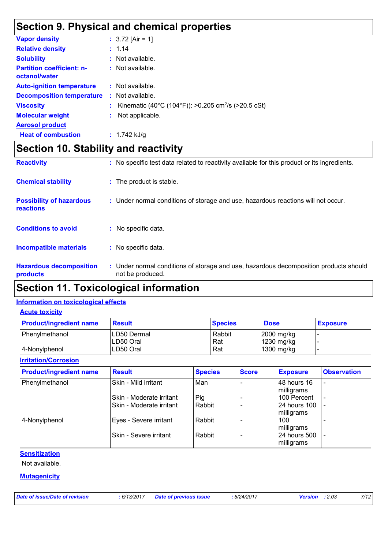### **Section 9. Physical and chemical properties**

| <b>Vapor density</b>                              | : $3.72$ [Air = 1]                                              |
|---------------------------------------------------|-----------------------------------------------------------------|
| <b>Relative density</b>                           | : 1.14                                                          |
| <b>Solubility</b>                                 | $:$ Not available.                                              |
| <b>Partition coefficient: n-</b><br>octanol/water | $:$ Not available.                                              |
| <b>Auto-ignition temperature</b>                  | : Not available.                                                |
| <b>Decomposition temperature</b>                  | $\therefore$ Not available.                                     |
| <b>Viscosity</b>                                  | Kinematic (40°C (104°F)): >0.205 cm <sup>2</sup> /s (>20.5 cSt) |
| <b>Molecular weight</b>                           | Not applicable.                                                 |
| <b>Aerosol product</b>                            |                                                                 |
| <b>Heat of combustion</b>                         | : $1.742$ kJ/g                                                  |

## **Section 10. Stability and reactivity**

| <b>Reactivity</b>                            | : No specific test data related to reactivity available for this product or its ingredients.              |
|----------------------------------------------|-----------------------------------------------------------------------------------------------------------|
| <b>Chemical stability</b>                    | : The product is stable.                                                                                  |
| <b>Possibility of hazardous</b><br>reactions | : Under normal conditions of storage and use, hazardous reactions will not occur.                         |
| <b>Conditions to avoid</b>                   | : No specific data.                                                                                       |
| <b>Incompatible materials</b>                | : No specific data.                                                                                       |
| <b>Hazardous decomposition</b><br>products   | : Under normal conditions of storage and use, hazardous decomposition products should<br>not be produced. |

### **Section 11. Toxicological information**

#### **Information on toxicological effects**

| <b>Acute toxicity</b> |
|-----------------------|
|-----------------------|

| <b>Product/ingredient name</b> | <b>Result</b>            | <b>Species</b> | <b>Dose</b>                          | <b>Exposure</b> |
|--------------------------------|--------------------------|----------------|--------------------------------------|-----------------|
| Phenylmethanol                 | LD50 Dermal<br>LD50 Oral | Rabbit<br>Rat  | $ 2000 \text{ mg/kg} $<br>1230 mg/kg |                 |
| 4-Nonylphenol                  | LD50 Oral                | Rat            | 1300 mg/kg                           |                 |

#### **Irritation/Corrosion**

| <b>Product/ingredient name</b> | <b>Result</b>            | <b>Species</b> | <b>Score</b> | <b>Exposure</b>            | <b>Observation</b>       |
|--------------------------------|--------------------------|----------------|--------------|----------------------------|--------------------------|
| Phenylmethanol                 | Skin - Mild irritant     | Man            |              | 48 hours 16<br>milligrams  | $\overline{\phantom{a}}$ |
|                                | Skin - Moderate irritant | Pig            |              | 100 Percent                | $\overline{\phantom{a}}$ |
|                                | Skin - Moderate irritant | Rabbit         |              | 24 hours 100<br>milligrams | $\overline{\phantom{a}}$ |
| 4-Nonylphenol                  | Eyes - Severe irritant   | Rabbit         |              | 100<br>milligrams          |                          |
|                                | Skin - Severe irritant   | Rabbit         |              | 24 hours 500<br>milligrams |                          |

#### **Sensitization**

Not available.

#### **Mutagenicity**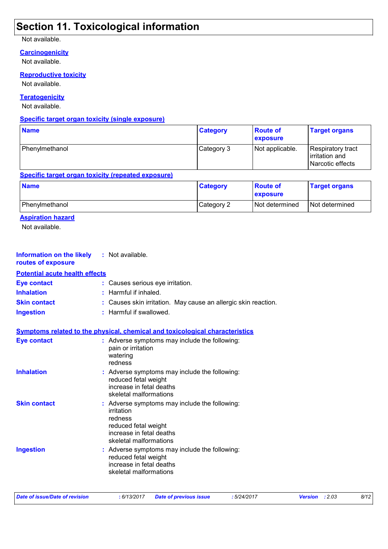## **Section 11. Toxicological information**

#### Not available.

**Carcinogenicity**

Not available.

**Reproductive toxicity**

Not available.

#### **Teratogenicity**

Not available.

#### **Specific target organ toxicity (single exposure)**

| <b>Name</b>    | <b>Category</b> | <b>Route of</b><br><b>exposure</b> | <b>Target organs</b>                                    |
|----------------|-----------------|------------------------------------|---------------------------------------------------------|
| Phenylmethanol | Category 3      | Not applicable.                    | Respiratory tract<br>irritation and<br>Narcotic effects |

#### **Specific target organ toxicity (repeated exposure)**

| <b>Name</b>    | <b>Category</b> | <b>Route of</b><br><b>Exposure</b> | <b>Target organs</b> |
|----------------|-----------------|------------------------------------|----------------------|
| Phenylmethanol | Category 2      | <b>Not determined</b>              | Not determined       |

#### **Aspiration hazard**

Not available.

| Information on the likely<br>routes of exposure | : Not available.                                                                                                                                     |
|-------------------------------------------------|------------------------------------------------------------------------------------------------------------------------------------------------------|
| <b>Potential acute health effects</b>           |                                                                                                                                                      |
| <b>Eye contact</b>                              | : Causes serious eye irritation.                                                                                                                     |
| <b>Inhalation</b>                               | Harmful if inhaled.                                                                                                                                  |
| <b>Skin contact</b>                             | Causes skin irritation. May cause an allergic skin reaction.                                                                                         |
| <b>Ingestion</b>                                | : Harmful if swallowed.                                                                                                                              |
|                                                 | <b>Symptoms related to the physical, chemical and toxicological characteristics</b>                                                                  |
| <b>Eye contact</b>                              | : Adverse symptoms may include the following:<br>pain or irritation<br>watering<br>redness                                                           |
| <b>Inhalation</b>                               | : Adverse symptoms may include the following:<br>reduced fetal weight<br>increase in fetal deaths<br>skeletal malformations                          |
| <b>Skin contact</b>                             | : Adverse symptoms may include the following:<br>irritation<br>redness<br>reduced fetal weight<br>increase in fetal deaths<br>skeletal malformations |
| <b>Ingestion</b>                                | : Adverse symptoms may include the following:<br>reduced fetal weight<br>increase in fetal deaths<br>skeletal malformations                          |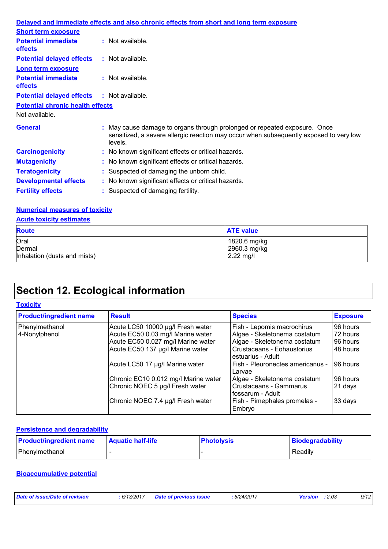|                                                   | Delayed and immediate effects and also chronic effects from short and long term exposure                                                                                       |
|---------------------------------------------------|--------------------------------------------------------------------------------------------------------------------------------------------------------------------------------|
| <b>Short term exposure</b>                        |                                                                                                                                                                                |
| <b>Potential immediate</b><br><b>effects</b>      | $:$ Not available.                                                                                                                                                             |
| <b>Potential delayed effects</b>                  | : Not available.                                                                                                                                                               |
| <b>Long term exposure</b>                         |                                                                                                                                                                                |
| <b>Potential immediate</b><br><b>effects</b>      | $\therefore$ Not available.                                                                                                                                                    |
| <b>Potential delayed effects : Not available.</b> |                                                                                                                                                                                |
| <b>Potential chronic health effects</b>           |                                                                                                                                                                                |
| Not available.                                    |                                                                                                                                                                                |
| <b>General</b>                                    | : May cause damage to organs through prolonged or repeated exposure. Once<br>sensitized, a severe allergic reaction may occur when subsequently exposed to very low<br>levels. |
| <b>Carcinogenicity</b>                            | : No known significant effects or critical hazards.                                                                                                                            |
| <b>Mutagenicity</b>                               | : No known significant effects or critical hazards.                                                                                                                            |
| <b>Teratogenicity</b>                             | : Suspected of damaging the unborn child.                                                                                                                                      |
| <b>Developmental effects</b>                      | : No known significant effects or critical hazards.                                                                                                                            |
| <b>Fertility effects</b>                          | : Suspected of damaging fertility.                                                                                                                                             |

### **Numerical measures of toxicity**

| <b>Acute toxicity estimates</b> |                  |  |  |  |
|---------------------------------|------------------|--|--|--|
| <b>Route</b>                    | <b>ATE value</b> |  |  |  |
| Oral                            | 1820.6 mg/kg     |  |  |  |
| Dermal                          | 2960.3 mg/kg     |  |  |  |
| Inhalation (dusts and mists)    | $2.22$ mg/l      |  |  |  |

## **Section 12. Ecological information**

#### **Toxicity**

| <b>Product/ingredient name</b> | <b>Result</b>                        | <b>Species</b>                                  | <b>Exposure</b> |
|--------------------------------|--------------------------------------|-------------------------------------------------|-----------------|
| Phenylmethanol                 | Acute LC50 10000 µg/l Fresh water    | Fish - Lepomis macrochirus                      | 96 hours        |
| 4-Nonylphenol                  | Acute EC50 0.03 mg/l Marine water    | Algae - Skeletonema costatum                    | 72 hours        |
|                                | Acute EC50 0.027 mg/l Marine water   | Algae - Skeletonema costatum                    | 96 hours        |
|                                | Acute EC50 137 µg/l Marine water     | Crustaceans - Eohaustorius<br>estuarius - Adult | 48 hours        |
|                                | Acute LC50 17 µg/l Marine water      | Fish - Pleuronectes americanus -<br>Larvae      | 96 hours        |
|                                | Chronic EC10 0.012 mg/l Marine water | Algae - Skeletonema costatum                    | 96 hours        |
|                                | Chronic NOEC 5 µg/l Fresh water      | Crustaceans - Gammarus<br>fossarum - Adult      | 21 days         |
|                                | Chronic NOEC 7.4 µg/l Fresh water    | Fish - Pimephales promelas -<br>Embryo          | 33 days         |

#### **Persistence and degradability**

| <b>Product/ingredient name</b> | <b>Aquatic half-life</b> | <b>Photolysis</b> | Biodegradability |
|--------------------------------|--------------------------|-------------------|------------------|
| l Phenvlmethanol               |                          |                   | Readily          |

#### **Bioaccumulative potential**

| : 6/13/2017 Date of previous issue | Date of issue/Date of revision |  |  | : 5/24/2017 | <b>Version</b> : 2.03 | 9/12 |
|------------------------------------|--------------------------------|--|--|-------------|-----------------------|------|
|------------------------------------|--------------------------------|--|--|-------------|-----------------------|------|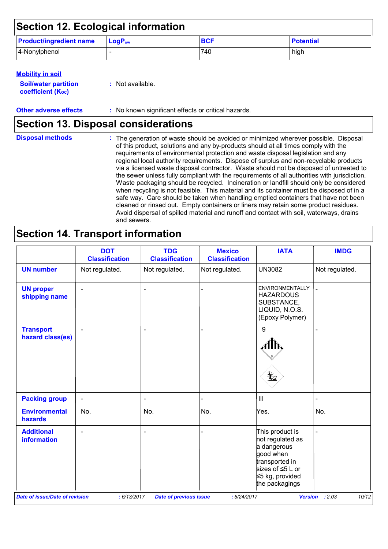| <b>Section 12. Ecological information</b> |                             |            |                  |  |  |
|-------------------------------------------|-----------------------------|------------|------------------|--|--|
| <b>Product/ingredient name</b>            | $\mathsf{LogP}_\mathsf{ow}$ | <b>BCF</b> | <b>Potential</b> |  |  |
| 4-Nonylphenol                             |                             | 740        | high             |  |  |

#### **Mobility in soil**

| <b>Soil/water partition</b> | : Not available. |
|-----------------------------|------------------|
| <b>coefficient (Koc)</b>    |                  |

**Other adverse effects** : No known significant effects or critical hazards.

## **Section 13. Disposal considerations**

| <b>Disposal methods</b> | : The generation of waste should be avoided or minimized wherever possible. Disposal<br>of this product, solutions and any by-products should at all times comply with the<br>requirements of environmental protection and waste disposal legislation and any<br>regional local authority requirements. Dispose of surplus and non-recyclable products<br>via a licensed waste disposal contractor. Waste should not be disposed of untreated to<br>the sewer unless fully compliant with the requirements of all authorities with jurisdiction.<br>Waste packaging should be recycled. Incineration or landfill should only be considered<br>when recycling is not feasible. This material and its container must be disposed of in a<br>safe way. Care should be taken when handling emptied containers that have not been<br>cleaned or rinsed out. Empty containers or liners may retain some product residues.<br>Avoid dispersal of spilled material and runoff and contact with soil, waterways, drains<br>and sewers. |
|-------------------------|-------------------------------------------------------------------------------------------------------------------------------------------------------------------------------------------------------------------------------------------------------------------------------------------------------------------------------------------------------------------------------------------------------------------------------------------------------------------------------------------------------------------------------------------------------------------------------------------------------------------------------------------------------------------------------------------------------------------------------------------------------------------------------------------------------------------------------------------------------------------------------------------------------------------------------------------------------------------------------------------------------------------------------|
|-------------------------|-------------------------------------------------------------------------------------------------------------------------------------------------------------------------------------------------------------------------------------------------------------------------------------------------------------------------------------------------------------------------------------------------------------------------------------------------------------------------------------------------------------------------------------------------------------------------------------------------------------------------------------------------------------------------------------------------------------------------------------------------------------------------------------------------------------------------------------------------------------------------------------------------------------------------------------------------------------------------------------------------------------------------------|

## **Section 14. Transport information**

|                                         | <b>DOT</b><br><b>Classification</b> | <b>TDG</b><br><b>Classification</b> | <b>Mexico</b><br><b>Classification</b> | <b>IATA</b>                                                                                                                                      | <b>IMDG</b>    |
|-----------------------------------------|-------------------------------------|-------------------------------------|----------------------------------------|--------------------------------------------------------------------------------------------------------------------------------------------------|----------------|
| <b>UN number</b>                        | Not regulated.                      | Not regulated.                      | Not regulated.                         | <b>UN3082</b>                                                                                                                                    | Not regulated. |
| <b>UN proper</b><br>shipping name       | $\blacksquare$                      | $\overline{\phantom{a}}$            |                                        | <b>ENVIRONMENTALLY</b><br><b>HAZARDOUS</b><br>SUBSTANCE,<br>LIQUID, N.O.S.<br>(Epoxy Polymer)                                                    |                |
| <b>Transport</b><br>hazard class(es)    |                                     | $\overline{\phantom{0}}$            |                                        | $9\,$<br>¥⊿                                                                                                                                      |                |
| <b>Packing group</b>                    | $\blacksquare$                      | $\qquad \qquad \blacksquare$        |                                        | $\  \ $                                                                                                                                          |                |
| <b>Environmental</b><br>hazards         | No.                                 | No.                                 | No.                                    | Yes.                                                                                                                                             | No.            |
| <b>Additional</b><br><b>information</b> | $\overline{\phantom{0}}$            | $\blacksquare$                      |                                        | This product is<br>not regulated as<br>a dangerous<br>good when<br>transported in<br>sizes of $\leq$ 5 L or<br>≤5 kg, provided<br>the packagings |                |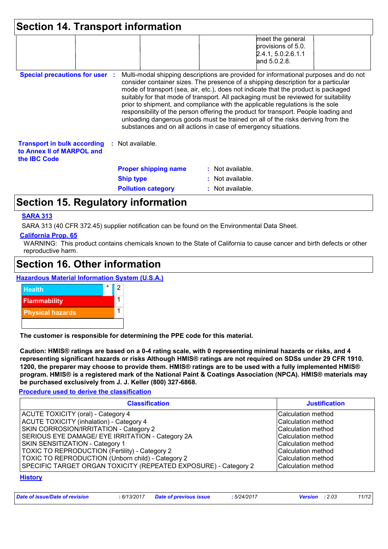| <b>Section 14. Transport information</b>                                               |                             |                                                                                                                                                                                                                                                                                                                                                                                                                                                                                                                                                                                                                                                                                     |
|----------------------------------------------------------------------------------------|-----------------------------|-------------------------------------------------------------------------------------------------------------------------------------------------------------------------------------------------------------------------------------------------------------------------------------------------------------------------------------------------------------------------------------------------------------------------------------------------------------------------------------------------------------------------------------------------------------------------------------------------------------------------------------------------------------------------------------|
|                                                                                        |                             | meet the general<br>provisions of 5.0.<br>2.4.1, 5.0.2.6.1.1<br>and 5.0.2.8.                                                                                                                                                                                                                                                                                                                                                                                                                                                                                                                                                                                                        |
| <b>Special precautions for user</b>                                                    |                             | Multi-modal shipping descriptions are provided for informational purposes and do not<br>consider container sizes. The presence of a shipping description for a particular<br>mode of transport (sea, air, etc.), does not indicate that the product is packaged<br>suitably for that mode of transport. All packaging must be reviewed for suitability<br>prior to shipment, and compliance with the applicable regulations is the sole<br>responsibility of the person offering the product for transport. People loading and<br>unloading dangerous goods must be trained on all of the risks deriving from the<br>substances and on all actions in case of emergency situations. |
| <b>Transport in bulk according</b><br>to Annex II of MARPOL and<br>the <b>IBC</b> Code | : Not available.            |                                                                                                                                                                                                                                                                                                                                                                                                                                                                                                                                                                                                                                                                                     |
|                                                                                        | <b>Proper shipping name</b> | : Not available.                                                                                                                                                                                                                                                                                                                                                                                                                                                                                                                                                                                                                                                                    |
|                                                                                        |                             |                                                                                                                                                                                                                                                                                                                                                                                                                                                                                                                                                                                                                                                                                     |
|                                                                                        | <b>Ship type</b>            | $:$ Not available.                                                                                                                                                                                                                                                                                                                                                                                                                                                                                                                                                                                                                                                                  |

#### **SARA 313**

SARA 313 (40 CFR 372.45) supplier notification can be found on the Environmental Data Sheet.

#### **California Prop. 65**

WARNING: This product contains chemicals known to the State of California to cause cancer and birth defects or other reproductive harm.

### **Section 16. Other information**





**The customer is responsible for determining the PPE code for this material.**

**Caution: HMIS® ratings are based on a 0-4 rating scale, with 0 representing minimal hazards or risks, and 4 representing significant hazards or risks Although HMIS® ratings are not required on SDSs under 29 CFR 1910. 1200, the preparer may choose to provide them. HMIS® ratings are to be used with a fully implemented HMIS® program. HMIS® is a registered mark of the National Paint & Coatings Association (NPCA). HMIS® materials may be purchased exclusively from J. J. Keller (800) 327-6868.**

#### **Procedure used to derive the classification**

| <b>Classification</b>                                           | <b>Justification</b> |
|-----------------------------------------------------------------|----------------------|
| ACUTE TOXICITY (oral) - Category 4                              | Calculation method   |
| ACUTE TOXICITY (inhalation) - Category 4                        | Calculation method   |
| <b>SKIN CORROSION/IRRITATION - Category 2</b>                   | Calculation method   |
| SERIOUS EYE DAMAGE/ EYE IRRITATION - Category 2A                | Calculation method   |
| SKIN SENSITIZATION - Category 1                                 | Calculation method   |
| <b>TOXIC TO REPRODUCTION (Fertility) - Category 2</b>           | Calculation method   |
| TOXIC TO REPRODUCTION (Unborn child) - Category 2               | Calculation method   |
| SPECIFIC TARGET ORGAN TOXICITY (REPEATED EXPOSURE) - Category 2 | Calculation method   |

#### **History**

| . | Date of issue/Date of revision | .6/13/2017 | <b>Date of previous issue</b> | .5/24/2017 | : 2.03<br><b>Version</b> | 11/12 |
|---|--------------------------------|------------|-------------------------------|------------|--------------------------|-------|
|---|--------------------------------|------------|-------------------------------|------------|--------------------------|-------|